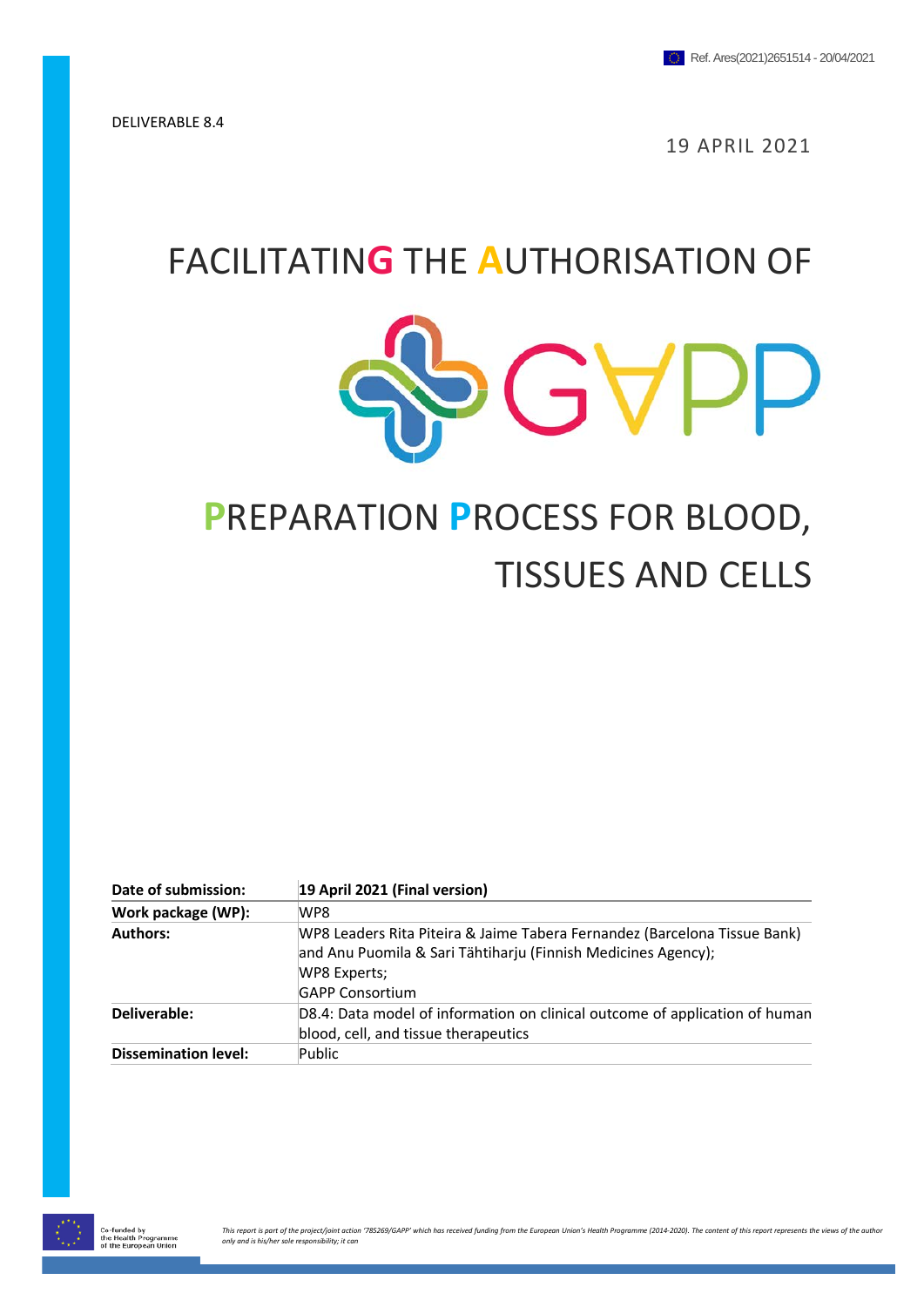19 APRIL 2021

## FACILITATIN**G** THE **A**UTHORISATION OF



# **P**REPARATION **P**ROCESS FOR BLOOD, TISSUES AND CELLS

| Date of submission:         | 19 April 2021 (Final version)                                                                                                                                                        |
|-----------------------------|--------------------------------------------------------------------------------------------------------------------------------------------------------------------------------------|
| Work package (WP):          | WP8                                                                                                                                                                                  |
| <b>Authors:</b>             | WP8 Leaders Rita Piteira & Jaime Tabera Fernandez (Barcelona Tissue Bank)<br>and Anu Puomila & Sari Tähtiharju (Finnish Medicines Agency);<br>WP8 Experts;<br><b>GAPP Consortium</b> |
| Deliverable:                | D8.4: Data model of information on clinical outcome of application of human<br>blood, cell, and tissue therapeutics                                                                  |
| <b>Dissemination level:</b> | Public                                                                                                                                                                               |

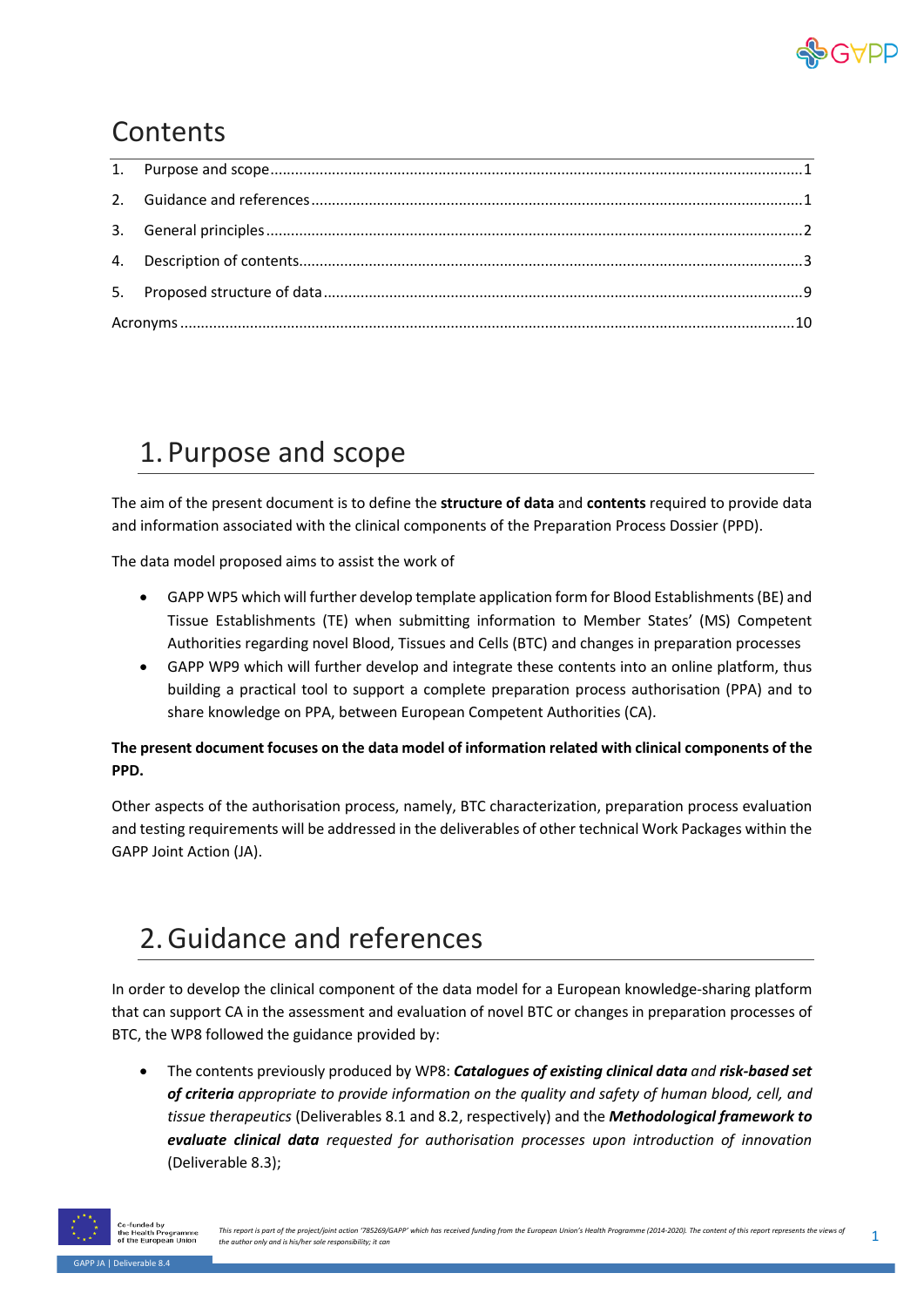

#### **Contents**

#### <span id="page-1-0"></span>1. Purpose and scope

The aim of the present document is to define the **structure of data** and **contents** required to provide data and information associated with the clinical components of the Preparation Process Dossier (PPD).

The data model proposed aims to assist the work of

- GAPP WP5 which will further develop template application form for Blood Establishments (BE) and Tissue Establishments (TE) when submitting information to Member States' (MS) Competent Authorities regarding novel Blood, Tissues and Cells (BTC) and changes in preparation processes
- GAPP WP9 which will further develop and integrate these contents into an online platform, thus building a practical tool to support a complete preparation process authorisation (PPA) and to share knowledge on PPA, between European Competent Authorities (CA).

#### **The present document focuses on the data model of information related with clinical components of the PPD.**

Other aspects of the authorisation process, namely, BTC characterization, preparation process evaluation and testing requirements will be addressed in the deliverables of other technical Work Packages within the GAPP Joint Action (JA).

#### <span id="page-1-1"></span>2.Guidance and references

In order to develop the clinical component of the data model for a European knowledge-sharing platform that can support CA in the assessment and evaluation of novel BTC or changes in preparation processes of BTC, the WP8 followed the guidance provided by:

• The contents previously produced by WP8: *Catalogues of existing clinical data and risk-based set of criteria appropriate to provide information on the quality and safety of human blood, cell, and tissue therapeutics* (Deliverables 8.1 and 8.2, respectively) and the *Methodological framework to evaluate clinical data requested for authorisation processes upon introduction of innovation*  (Deliverable 8.3);

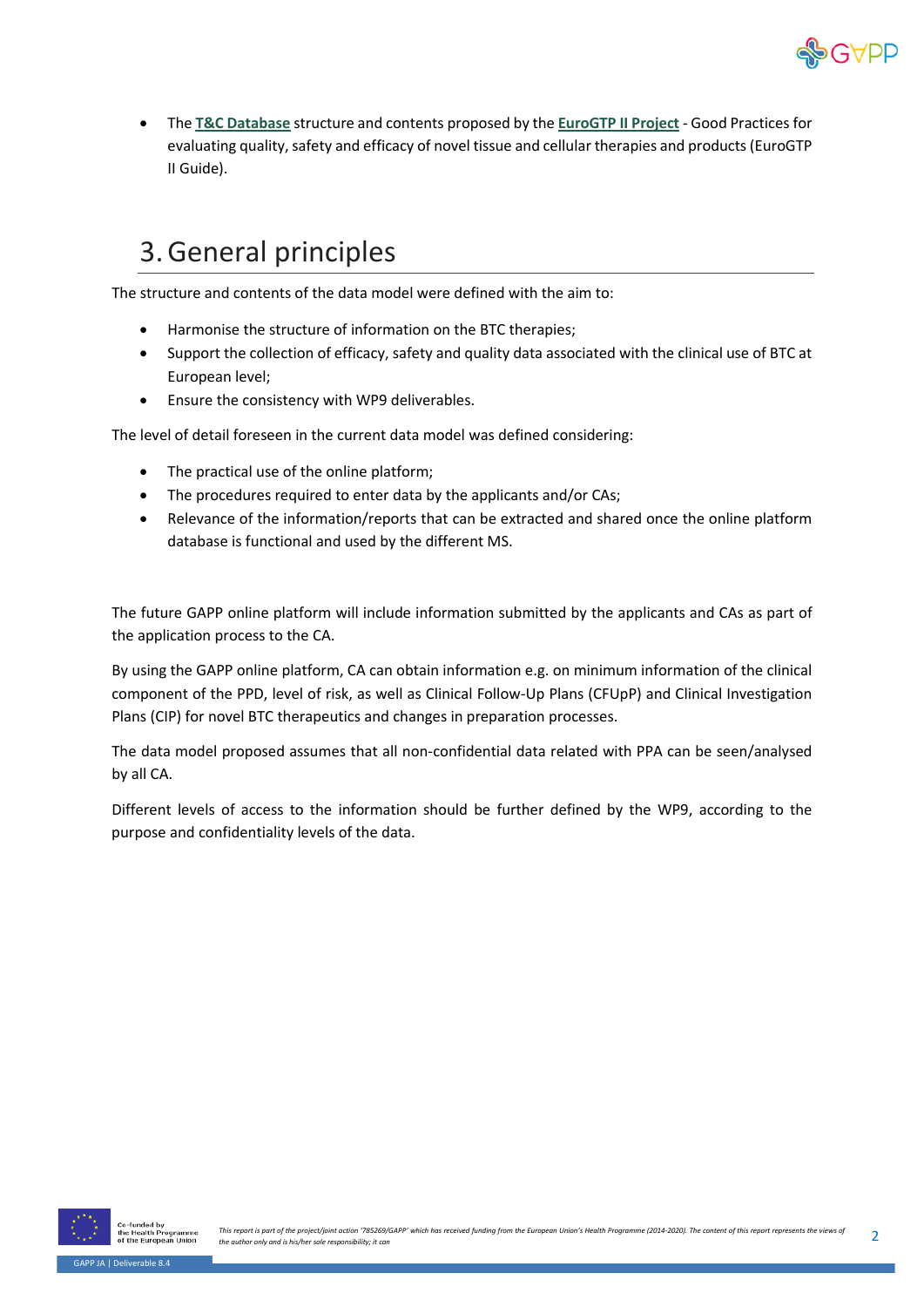

• The **[T&C Database](http://db.goodtissuepractices.site/)** structure and contents proposed by the **[EuroGTP II Project](http://goodtissuepractices.eu/)** - Good Practices for evaluating quality, safety and efficacy of novel tissue and cellular therapies and products (EuroGTP II Guide).

#### <span id="page-2-0"></span>3.General principles

The structure and contents of the data model were defined with the aim to:

- Harmonise the structure of information on the BTC therapies;
- Support the collection of efficacy, safety and quality data associated with the clinical use of BTC at European level;
- Ensure the consistency with WP9 deliverables.

The level of detail foreseen in the current data model was defined considering:

- The practical use of the online platform;
- The procedures required to enter data by the applicants and/or CAs;
- Relevance of the information/reports that can be extracted and shared once the online platform database is functional and used by the different MS.

The future GAPP online platform will include information submitted by the applicants and CAs as part of the application process to the CA.

By using the GAPP online platform, CA can obtain information e.g. on minimum information of the clinical component of the PPD, level of risk, as well as Clinical Follow-Up Plans (CFUpP) and Clinical Investigation Plans (CIP) for novel BTC therapeutics and changes in preparation processes.

The data model proposed assumes that all non-confidential data related with PPA can be seen/analysed by all CA.

Different levels of access to the information should be further defined by the WP9, according to the purpose and confidentiality levels of the data.

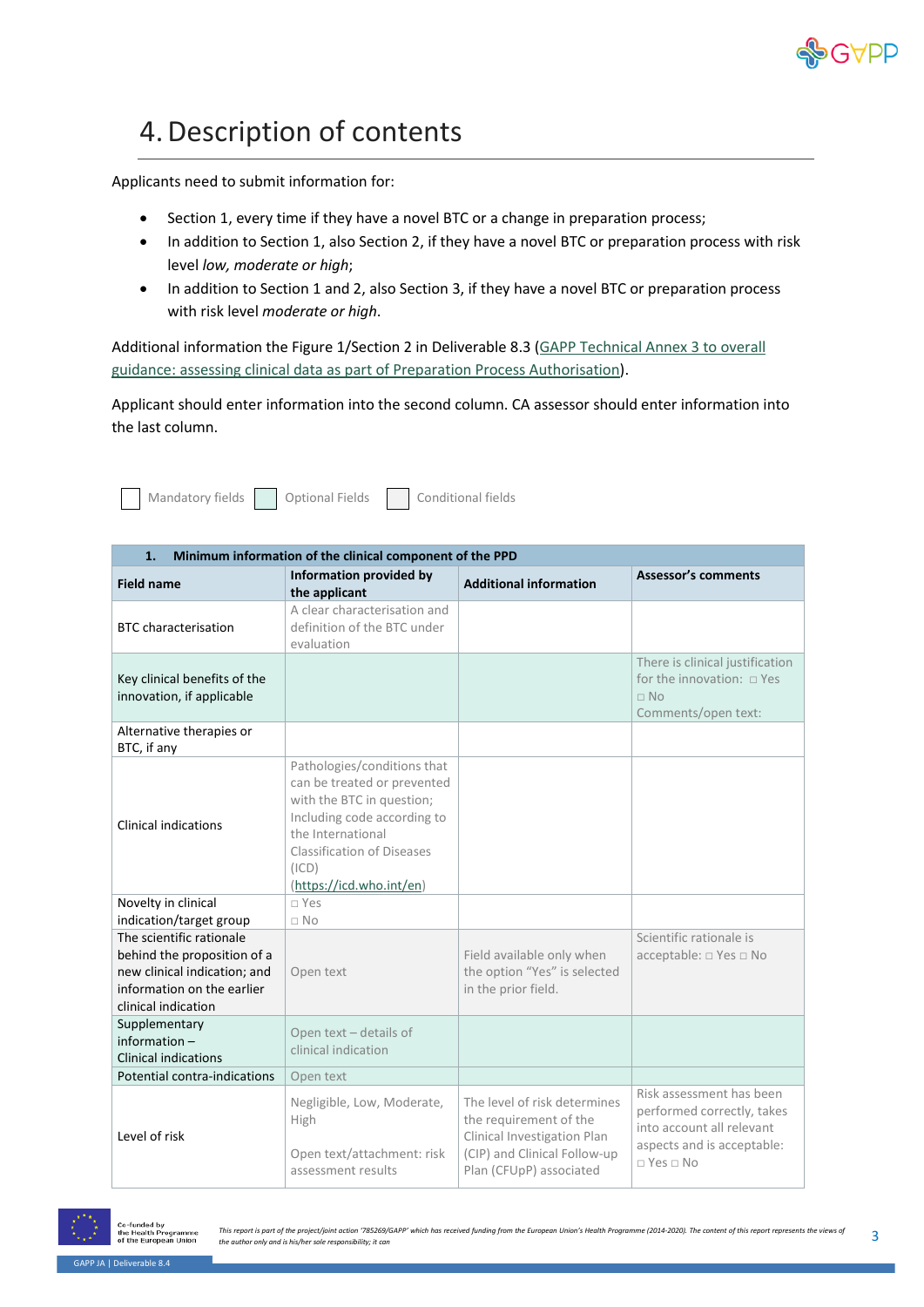

### <span id="page-3-0"></span>4.Description of contents

Applicants need to submit information for:

- Section 1, every time if they have a novel BTC or a change in preparation process;
- In addition to Section 1, also Section 2, if they have a novel BTC or preparation process with risk level *low, moderate or high*;
- In addition to Section 1 and 2, also Section 3, if they have a novel BTC or preparation process with risk level *moderate or high*.

Additional information the Figure 1/Section 2 in Deliverable 8.3 [\(GAPP Technical Annex 3 to overall](https://www.gapp-ja.eu/wp-content/uploads/2020/10/D8.3_Ref.-Ares_2020_4146352_06082020.pdf)  [guidance: assessing clinical data as part of Preparation Process Authorisation\)](https://www.gapp-ja.eu/wp-content/uploads/2020/10/D8.3_Ref.-Ares_2020_4146352_06082020.pdf).

Applicant should enter information into the second column. CA assessor should enter information into the last column.

| Mandatory fields    Qptional Fields    Conditional fields |  |  |
|-----------------------------------------------------------|--|--|
|-----------------------------------------------------------|--|--|

| 1.<br>Minimum information of the clinical component of the PPD                                                                               |                                                                                                                                                                                                                       |                                                                                                                                                  |                                                                                                                                           |
|----------------------------------------------------------------------------------------------------------------------------------------------|-----------------------------------------------------------------------------------------------------------------------------------------------------------------------------------------------------------------------|--------------------------------------------------------------------------------------------------------------------------------------------------|-------------------------------------------------------------------------------------------------------------------------------------------|
| <b>Field name</b>                                                                                                                            | Information provided by<br>the applicant                                                                                                                                                                              | <b>Additional information</b>                                                                                                                    | <b>Assessor's comments</b>                                                                                                                |
| <b>BTC</b> characterisation                                                                                                                  | A clear characterisation and<br>definition of the BTC under<br>evaluation                                                                                                                                             |                                                                                                                                                  |                                                                                                                                           |
| Key clinical benefits of the<br>innovation, if applicable                                                                                    |                                                                                                                                                                                                                       |                                                                                                                                                  | There is clinical justification<br>for the innovation: $\Box$ Yes<br>$\Box$ No<br>Comments/open text:                                     |
| Alternative therapies or<br>BTC, if any                                                                                                      |                                                                                                                                                                                                                       |                                                                                                                                                  |                                                                                                                                           |
| <b>Clinical indications</b>                                                                                                                  | Pathologies/conditions that<br>can be treated or prevented<br>with the BTC in question;<br>Including code according to<br>the International<br><b>Classification of Diseases</b><br>(ICD)<br>(https://icd.who.int/en) |                                                                                                                                                  |                                                                                                                                           |
| Novelty in clinical<br>indication/target group                                                                                               | $\neg$ Yes<br>$\Box$ No                                                                                                                                                                                               |                                                                                                                                                  |                                                                                                                                           |
| The scientific rationale<br>behind the proposition of a<br>new clinical indication; and<br>information on the earlier<br>clinical indication | Open text                                                                                                                                                                                                             | Field available only when<br>the option "Yes" is selected<br>in the prior field.                                                                 | Scientific rationale is<br>acceptable: □ Yes □ No                                                                                         |
| Supplementary<br>information-<br><b>Clinical indications</b>                                                                                 | Open text - details of<br>clinical indication                                                                                                                                                                         |                                                                                                                                                  |                                                                                                                                           |
| Potential contra-indications                                                                                                                 | Open text                                                                                                                                                                                                             |                                                                                                                                                  |                                                                                                                                           |
| Level of risk                                                                                                                                | Negligible, Low, Moderate,<br>High<br>Open text/attachment: risk<br>assessment results                                                                                                                                | The level of risk determines<br>the requirement of the<br>Clinical Investigation Plan<br>(CIP) and Clinical Follow-up<br>Plan (CFUpP) associated | Risk assessment has been<br>performed correctly, takes<br>into account all relevant<br>aspects and is acceptable:<br>$\Box$ Yes $\Box$ No |



-funded by<br>e Health Pr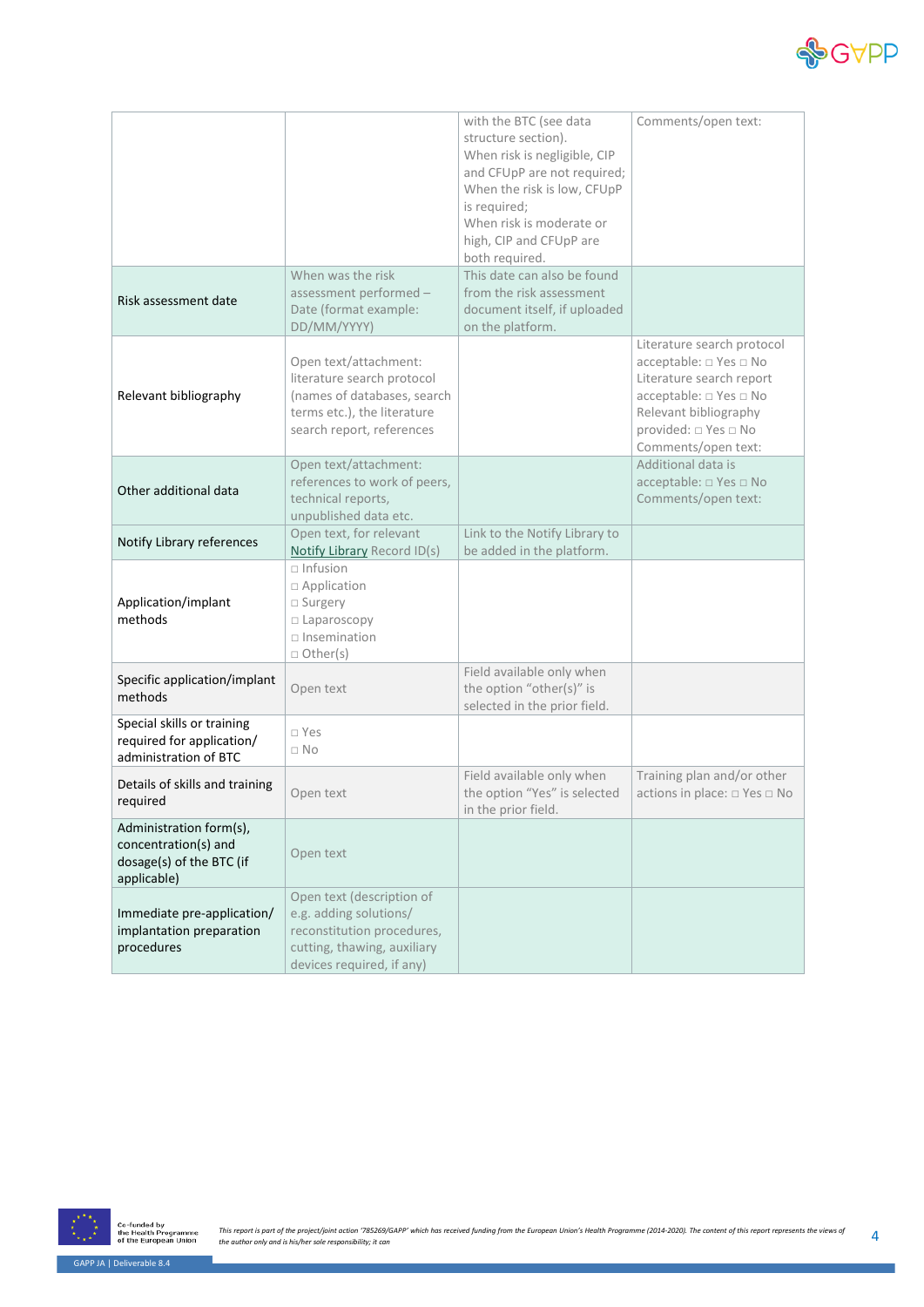

|                                                                                            |                                                                                                                                                | with the BTC (see data<br>structure section).<br>When risk is negligible, CIP<br>and CFUpP are not required;<br>When the risk is low, CFUpP<br>is required;<br>When risk is moderate or<br>high, CIP and CFUpP are<br>both required. | Comments/open text:                                                                                                                                                                          |
|--------------------------------------------------------------------------------------------|------------------------------------------------------------------------------------------------------------------------------------------------|--------------------------------------------------------------------------------------------------------------------------------------------------------------------------------------------------------------------------------------|----------------------------------------------------------------------------------------------------------------------------------------------------------------------------------------------|
| Risk assessment date                                                                       | When was the risk<br>assessment performed -<br>Date (format example:<br>DD/MM/YYYY)                                                            | This date can also be found<br>from the risk assessment<br>document itself, if uploaded<br>on the platform.                                                                                                                          |                                                                                                                                                                                              |
| Relevant bibliography                                                                      | Open text/attachment:<br>literature search protocol<br>(names of databases, search<br>terms etc.), the literature<br>search report, references |                                                                                                                                                                                                                                      | Literature search protocol<br>acceptable: □ Yes □ No<br>Literature search report<br>acceptable: □ Yes □ No<br>Relevant bibliography<br>provided: $\Box$ Yes $\Box$ No<br>Comments/open text: |
| Other additional data                                                                      | Open text/attachment:<br>references to work of peers,<br>technical reports,<br>unpublished data etc.                                           |                                                                                                                                                                                                                                      | Additional data is<br>acceptable: □ Yes □ No<br>Comments/open text:                                                                                                                          |
| Notify Library references                                                                  | Open text, for relevant<br>Notify Library Record ID(s)                                                                                         | Link to the Notify Library to<br>be added in the platform.                                                                                                                                                                           |                                                                                                                                                                                              |
| Application/implant<br>methods                                                             | $\sqcap$ Infusion<br>□ Application<br>□ Surgery<br>□ Laparoscopy<br>$\square$ Insemination<br>□ Other(s)                                       |                                                                                                                                                                                                                                      |                                                                                                                                                                                              |
| Specific application/implant<br>methods                                                    | Open text                                                                                                                                      | Field available only when<br>the option "other(s)" is<br>selected in the prior field.                                                                                                                                                |                                                                                                                                                                                              |
| Special skills or training<br>required for application/<br>administration of BTC           | □ Yes<br>$\Box$ No                                                                                                                             |                                                                                                                                                                                                                                      |                                                                                                                                                                                              |
| Details of skills and training<br>required                                                 | Open text                                                                                                                                      | Field available only when<br>the option "Yes" is selected<br>in the prior field.                                                                                                                                                     | Training plan and/or other<br>actions in place: □ Yes □ No                                                                                                                                   |
| Administration form(s),<br>concentration(s) and<br>dosage(s) of the BTC (if<br>applicable) | Open text                                                                                                                                      |                                                                                                                                                                                                                                      |                                                                                                                                                                                              |
| Immediate pre-application/<br>implantation preparation<br>procedures                       | Open text (description of<br>e.g. adding solutions/<br>reconstitution procedures,<br>cutting, thawing, auxiliary<br>devices required, if any)  |                                                                                                                                                                                                                                      |                                                                                                                                                                                              |

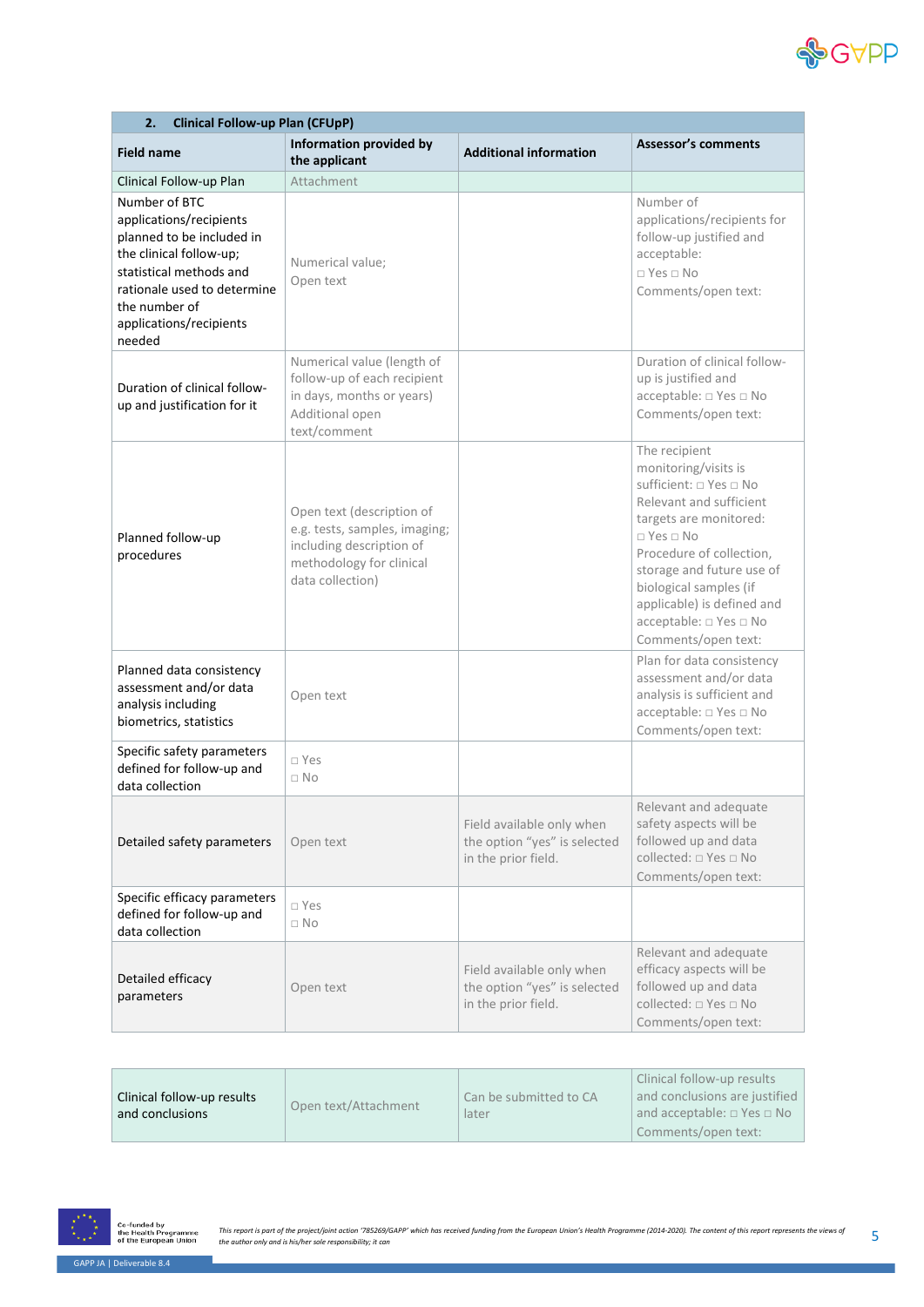

| Clinical Follow-up Plan (CFUpP)<br>2.                                                                                                                                                                            |                                                                                                                                        |                                                                                  |                                                                                                                                                                                                                                                                                                                |
|------------------------------------------------------------------------------------------------------------------------------------------------------------------------------------------------------------------|----------------------------------------------------------------------------------------------------------------------------------------|----------------------------------------------------------------------------------|----------------------------------------------------------------------------------------------------------------------------------------------------------------------------------------------------------------------------------------------------------------------------------------------------------------|
| <b>Field name</b>                                                                                                                                                                                                | Information provided by<br>the applicant                                                                                               | <b>Additional information</b>                                                    | <b>Assessor's comments</b>                                                                                                                                                                                                                                                                                     |
| Clinical Follow-up Plan                                                                                                                                                                                          | Attachment                                                                                                                             |                                                                                  |                                                                                                                                                                                                                                                                                                                |
| Number of BTC<br>applications/recipients<br>planned to be included in<br>the clinical follow-up;<br>statistical methods and<br>rationale used to determine<br>the number of<br>applications/recipients<br>needed | Numerical value;<br>Open text                                                                                                          |                                                                                  | Number of<br>applications/recipients for<br>follow-up justified and<br>acceptable:<br>$\Box$ Yes $\Box$ No<br>Comments/open text:                                                                                                                                                                              |
| Duration of clinical follow-<br>up and justification for it                                                                                                                                                      | Numerical value (length of<br>follow-up of each recipient<br>in days, months or years)<br>Additional open<br>text/comment              |                                                                                  | Duration of clinical follow-<br>up is justified and<br>acceptable: □ Yes □ No<br>Comments/open text:                                                                                                                                                                                                           |
| Planned follow-up<br>procedures                                                                                                                                                                                  | Open text (description of<br>e.g. tests, samples, imaging;<br>including description of<br>methodology for clinical<br>data collection) |                                                                                  | The recipient<br>monitoring/visits is<br>sufficient: □ Yes □ No<br>Relevant and sufficient<br>targets are monitored:<br>$\Box$ Yes $\Box$ No<br>Procedure of collection,<br>storage and future use of<br>biological samples (if<br>applicable) is defined and<br>acceptable: □ Yes □ No<br>Comments/open text: |
| Planned data consistency<br>assessment and/or data<br>analysis including<br>biometrics, statistics                                                                                                               | Open text                                                                                                                              |                                                                                  | Plan for data consistency<br>assessment and/or data<br>analysis is sufficient and<br>acceptable: □ Yes □ No<br>Comments/open text:                                                                                                                                                                             |
| Specific safety parameters<br>defined for follow-up and<br>data collection                                                                                                                                       | $\Box$ Yes<br>$\Box$ No                                                                                                                |                                                                                  |                                                                                                                                                                                                                                                                                                                |
| Detailed safety parameters                                                                                                                                                                                       | Open text                                                                                                                              | Field available only when<br>the option "yes" is selected<br>in the prior field. | Relevant and adequate<br>safety aspects will be<br>followed up and data<br>collected: □ Yes □ No<br>Comments/open text:                                                                                                                                                                                        |
| Specific efficacy parameters<br>defined for follow-up and<br>data collection                                                                                                                                     | $\square$ Yes<br>$\Box$ No                                                                                                             |                                                                                  |                                                                                                                                                                                                                                                                                                                |
| Detailed efficacy<br>parameters                                                                                                                                                                                  | Open text                                                                                                                              | Field available only when<br>the option "yes" is selected<br>in the prior field. | Relevant and adequate<br>efficacy aspects will be<br>followed up and data<br>collected: □ Yes □ No<br>Comments/open text:                                                                                                                                                                                      |

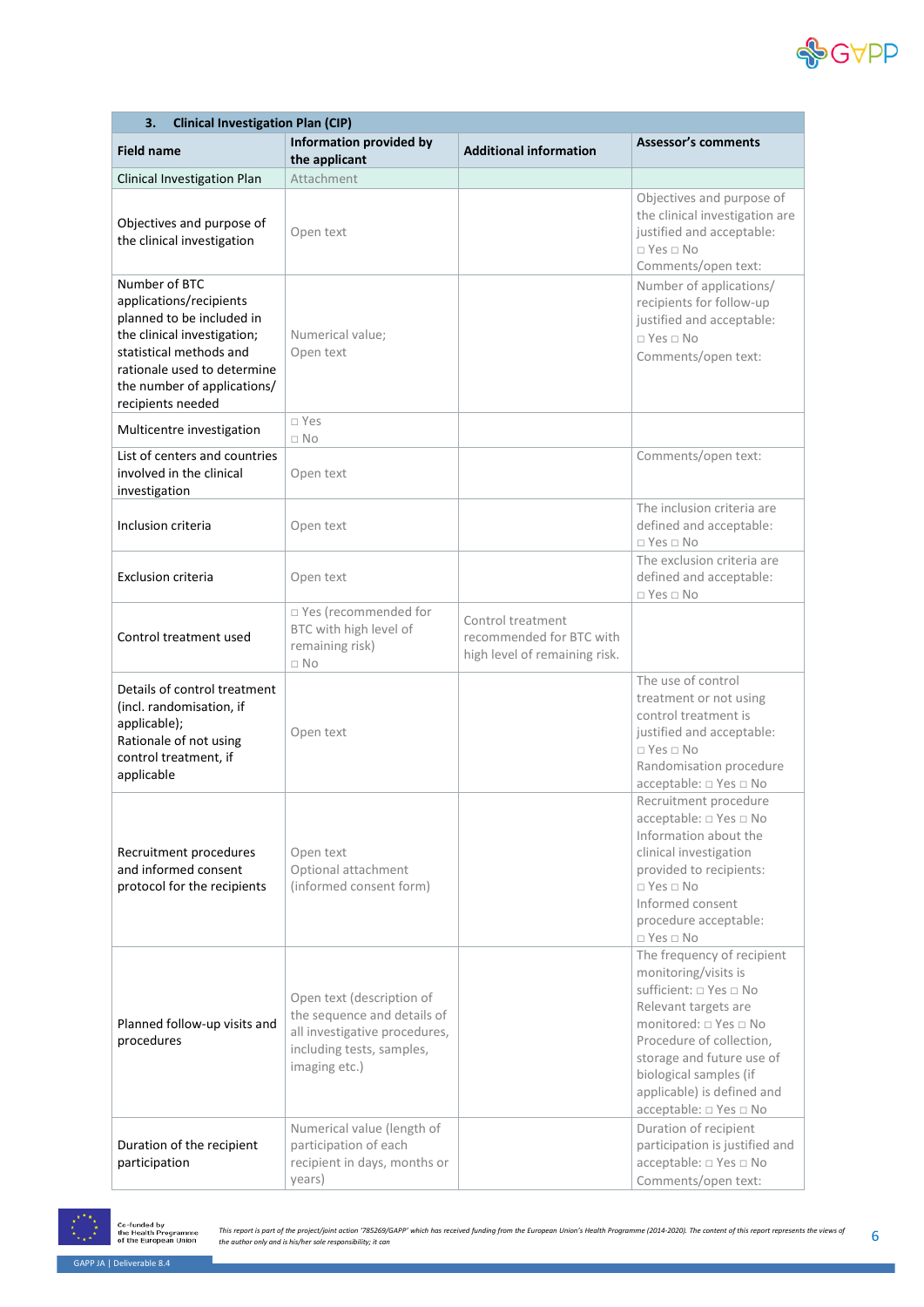

| 3.<br><b>Clinical Investigation Plan (CIP)</b>                                                                                                                                                                     |                                                                                                                                         |                                                                                |                                                                                                                                                                                                                                                                          |
|--------------------------------------------------------------------------------------------------------------------------------------------------------------------------------------------------------------------|-----------------------------------------------------------------------------------------------------------------------------------------|--------------------------------------------------------------------------------|--------------------------------------------------------------------------------------------------------------------------------------------------------------------------------------------------------------------------------------------------------------------------|
| <b>Field name</b>                                                                                                                                                                                                  | <b>Information provided by</b><br>the applicant                                                                                         | <b>Additional information</b>                                                  | <b>Assessor's comments</b>                                                                                                                                                                                                                                               |
| Clinical Investigation Plan                                                                                                                                                                                        | Attachment                                                                                                                              |                                                                                |                                                                                                                                                                                                                                                                          |
| Objectives and purpose of<br>the clinical investigation                                                                                                                                                            | Open text                                                                                                                               |                                                                                | Objectives and purpose of<br>the clinical investigation are<br>justified and acceptable:<br>$\Box$ Yes $\Box$ No<br>Comments/open text:                                                                                                                                  |
| Number of BTC<br>applications/recipients<br>planned to be included in<br>the clinical investigation;<br>statistical methods and<br>rationale used to determine<br>the number of applications/<br>recipients needed | Numerical value;<br>Open text                                                                                                           |                                                                                | Number of applications/<br>recipients for follow-up<br>justified and acceptable:<br>$\Box$ Yes $\Box$ No<br>Comments/open text:                                                                                                                                          |
| Multicentre investigation                                                                                                                                                                                          | □ Yes<br>$\Box$ No                                                                                                                      |                                                                                |                                                                                                                                                                                                                                                                          |
| List of centers and countries<br>involved in the clinical<br>investigation                                                                                                                                         | Open text                                                                                                                               |                                                                                | Comments/open text:                                                                                                                                                                                                                                                      |
| Inclusion criteria                                                                                                                                                                                                 | Open text                                                                                                                               |                                                                                | The inclusion criteria are<br>defined and acceptable:<br>$\Box$ Yes $\Box$ No                                                                                                                                                                                            |
| <b>Exclusion criteria</b>                                                                                                                                                                                          | Open text                                                                                                                               |                                                                                | The exclusion criteria are<br>defined and acceptable:<br>$\Box$ Yes $\Box$ No                                                                                                                                                                                            |
| Control treatment used                                                                                                                                                                                             | □ Yes (recommended for<br>BTC with high level of<br>remaining risk)<br>$\Box$ No                                                        | Control treatment<br>recommended for BTC with<br>high level of remaining risk. |                                                                                                                                                                                                                                                                          |
| Details of control treatment<br>(incl. randomisation, if<br>applicable);<br>Rationale of not using<br>control treatment, if<br>applicable                                                                          | Open text                                                                                                                               |                                                                                | The use of control<br>treatment or not using<br>control treatment is<br>justified and acceptable:<br>$\Box$ Yes $\Box$ No<br>Randomisation procedure<br>acceptable: □ Yes □ No                                                                                           |
| Recruitment procedures<br>and informed consent<br>protocol for the recipients                                                                                                                                      | Open text<br>Optional attachment<br>(informed consent form)                                                                             |                                                                                | Recruitment procedure<br>acceptable: □ Yes □ No<br>Information about the<br>clinical investigation<br>provided to recipients:<br>$\Box$ Yes $\Box$ No<br>Informed consent<br>procedure acceptable:<br>$\Box$ Yes $\Box$ No                                               |
| Planned follow-up visits and<br>procedures                                                                                                                                                                         | Open text (description of<br>the sequence and details of<br>all investigative procedures,<br>including tests, samples,<br>imaging etc.) |                                                                                | The frequency of recipient<br>monitoring/visits is<br>sufficient: □ Yes □ No<br>Relevant targets are<br>monitored: □ Yes □ No<br>Procedure of collection,<br>storage and future use of<br>biological samples (if<br>applicable) is defined and<br>acceptable: □ Yes □ No |
| Duration of the recipient<br>participation                                                                                                                                                                         | Numerical value (length of<br>participation of each<br>recipient in days, months or<br>years)                                           |                                                                                | Duration of recipient<br>participation is justified and<br>acceptable: □ Yes □ No<br>Comments/open text:                                                                                                                                                                 |



Co-funded by<br>the Health Programme<br>of the European Union This report is part of the project/joint action '785269/GAPP' which has received funding from the European Union's Health Programme (2014-2020). The content of this report represents the views of G<br>the author only and is h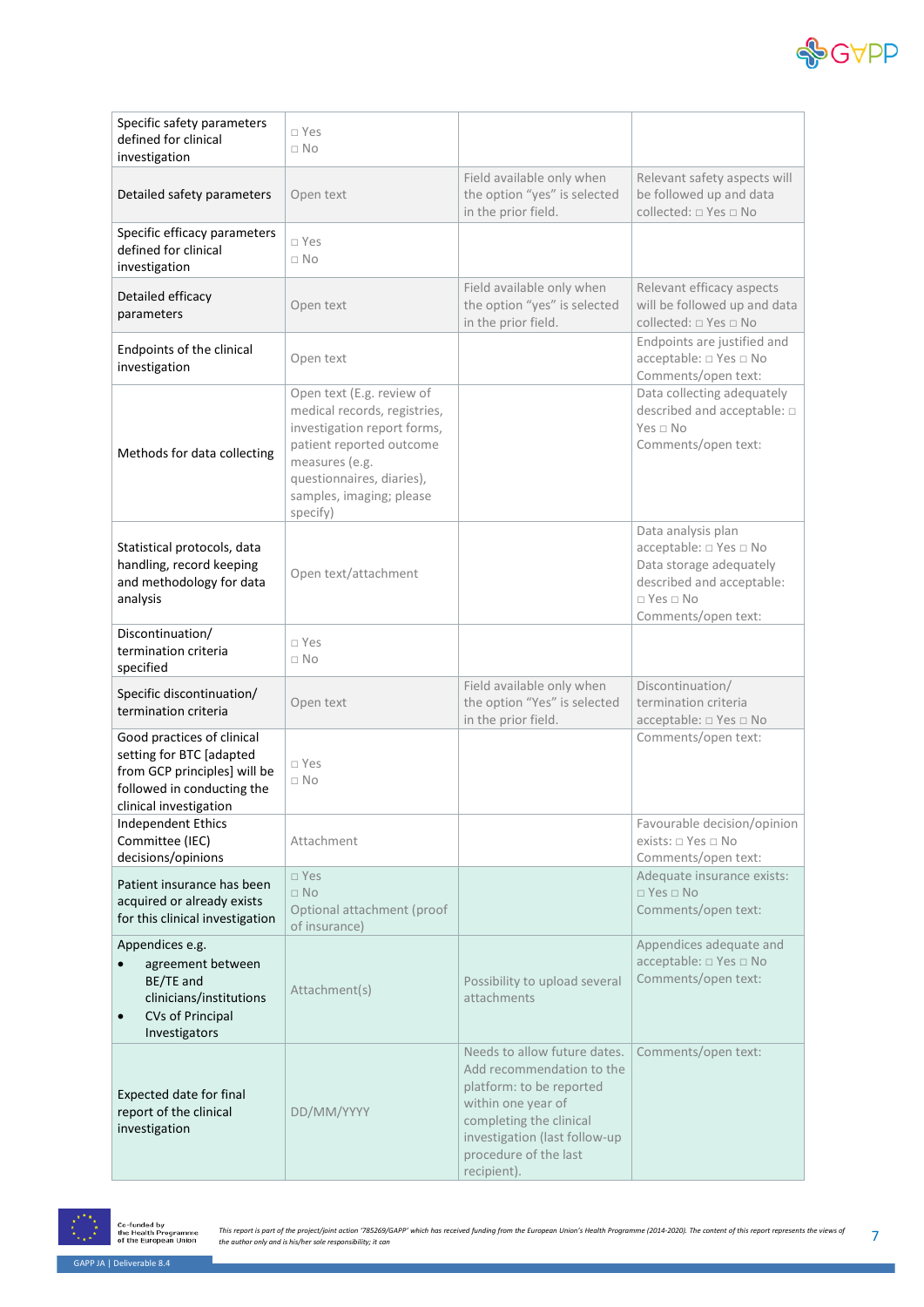

| Specific safety parameters<br>defined for clinical<br>investigation                                                                            | $\Box$ Yes<br>$\Box$ No                                                                                                                                                                                     |                                                                                                                                                                                                                 |                                                                                                                                                     |
|------------------------------------------------------------------------------------------------------------------------------------------------|-------------------------------------------------------------------------------------------------------------------------------------------------------------------------------------------------------------|-----------------------------------------------------------------------------------------------------------------------------------------------------------------------------------------------------------------|-----------------------------------------------------------------------------------------------------------------------------------------------------|
| Detailed safety parameters                                                                                                                     | Open text                                                                                                                                                                                                   | Field available only when<br>the option "yes" is selected<br>in the prior field.                                                                                                                                | Relevant safety aspects will<br>be followed up and data<br>collected: □ Yes □ No                                                                    |
| Specific efficacy parameters<br>defined for clinical<br>investigation                                                                          | □ Yes<br>$\Box$ No                                                                                                                                                                                          |                                                                                                                                                                                                                 |                                                                                                                                                     |
| Detailed efficacy<br>parameters                                                                                                                | Open text                                                                                                                                                                                                   | Field available only when<br>the option "yes" is selected<br>in the prior field.                                                                                                                                | Relevant efficacy aspects<br>will be followed up and data<br>collected: □ Yes □ No                                                                  |
| Endpoints of the clinical<br>investigation                                                                                                     | Open text                                                                                                                                                                                                   |                                                                                                                                                                                                                 | Endpoints are justified and<br>acceptable: □ Yes □ No<br>Comments/open text:                                                                        |
| Methods for data collecting                                                                                                                    | Open text (E.g. review of<br>medical records, registries,<br>investigation report forms,<br>patient reported outcome<br>measures (e.g.<br>questionnaires, diaries),<br>samples, imaging; please<br>specify) |                                                                                                                                                                                                                 | Data collecting adequately<br>described and acceptable: $\square$<br>$Yes \square No$<br>Comments/open text:                                        |
| Statistical protocols, data<br>handling, record keeping<br>and methodology for data<br>analysis                                                | Open text/attachment                                                                                                                                                                                        |                                                                                                                                                                                                                 | Data analysis plan<br>acceptable: □ Yes □ No<br>Data storage adequately<br>described and acceptable:<br>$\Box$ Yes $\Box$ No<br>Comments/open text: |
| Discontinuation/<br>termination criteria<br>specified                                                                                          | □ Yes<br>$\Box$ No                                                                                                                                                                                          |                                                                                                                                                                                                                 |                                                                                                                                                     |
| Specific discontinuation/<br>termination criteria                                                                                              | Open text                                                                                                                                                                                                   | Field available only when<br>the option "Yes" is selected<br>in the prior field.                                                                                                                                | Discontinuation/<br>termination criteria<br>acceptable: □ Yes □ No                                                                                  |
| Good practices of clinical<br>setting for BTC [adapted<br>from GCP principles] will be<br>followed in conducting the<br>clinical investigation | $\Box$ Yes<br>$\Box$ No                                                                                                                                                                                     |                                                                                                                                                                                                                 | Comments/open text:                                                                                                                                 |
| <b>Independent Ethics</b><br>Committee (IEC)<br>decisions/opinions                                                                             | Attachment                                                                                                                                                                                                  |                                                                                                                                                                                                                 | Favourable decision/opinion<br>exists: □ Yes □ No<br>Comments/open text:                                                                            |
| Patient insurance has been<br>acquired or already exists<br>for this clinical investigation                                                    | $\square$ Yes<br>$\Box$ No<br>Optional attachment (proof<br>of insurance)                                                                                                                                   |                                                                                                                                                                                                                 | Adequate insurance exists:<br>$\Box$ Yes $\Box$ No<br>Comments/open text:                                                                           |
| Appendices e.g.<br>agreement between<br>BE/TE and<br>clinicians/institutions<br><b>CVs of Principal</b><br>$\bullet$<br>Investigators          | Attachment(s)                                                                                                                                                                                               | Possibility to upload several<br>attachments                                                                                                                                                                    | Appendices adequate and<br>acceptable: □ Yes □ No<br>Comments/open text:                                                                            |
| Expected date for final<br>report of the clinical<br>investigation                                                                             | DD/MM/YYYY                                                                                                                                                                                                  | Needs to allow future dates.<br>Add recommendation to the<br>platform: to be reported<br>within one year of<br>completing the clinical<br>investigation (last follow-up<br>procedure of the last<br>recipient). | Comments/open text:                                                                                                                                 |

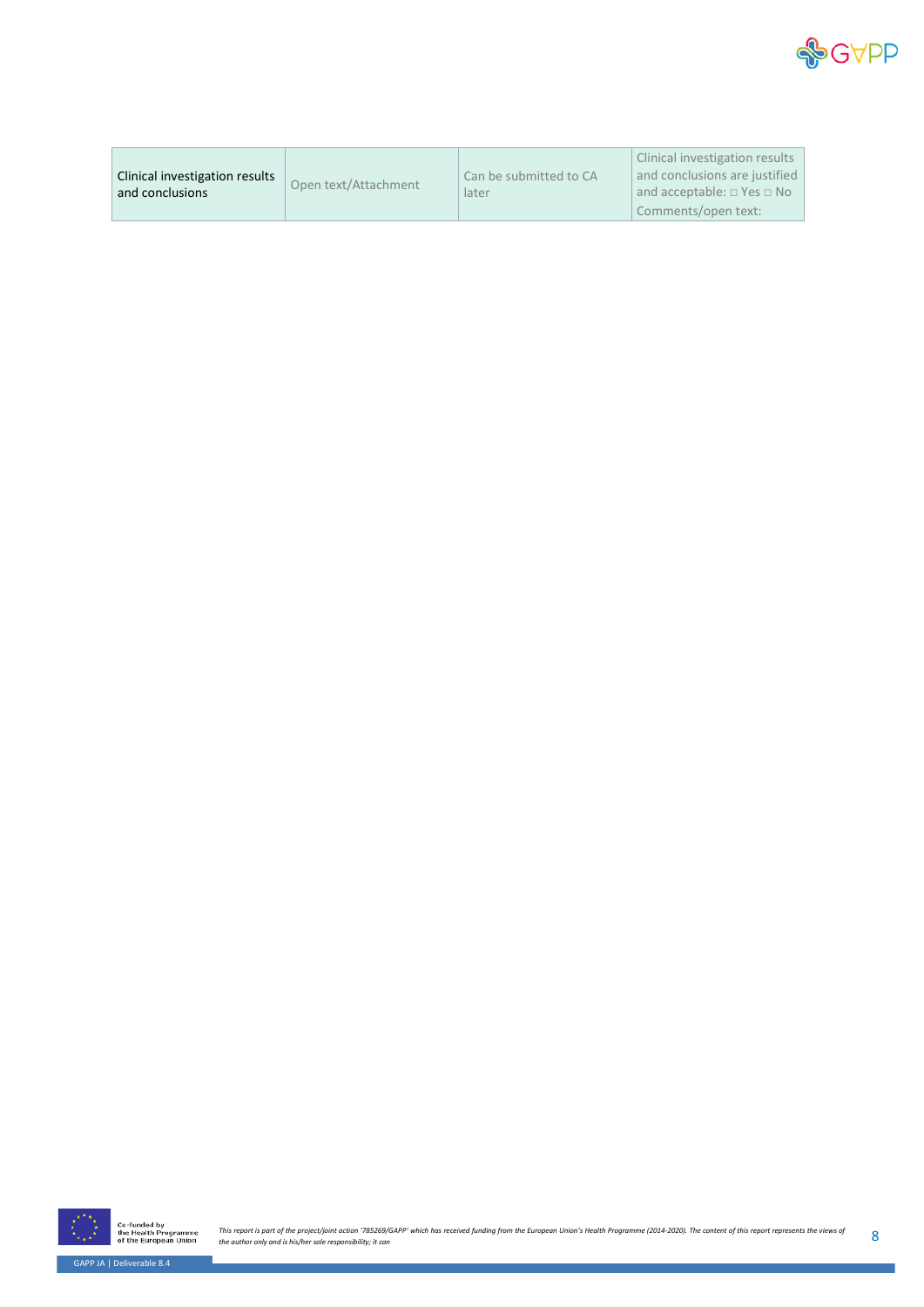

|                                |                      |                        | Clinical investigation results             |
|--------------------------------|----------------------|------------------------|--------------------------------------------|
| Clinical investigation results | Open text/Attachment | Can be submitted to CA | and conclusions are justified              |
| and conclusions                |                      | later                  | and acceptable: $\square$ Yes $\square$ No |
|                                |                      |                        | Comments/open text:                        |



This report is part of the project/joint action '785269/GAPP' which has received funding from the European Union's Health Programme (2014-2020). The content of this report represents the views of Gallection only and is his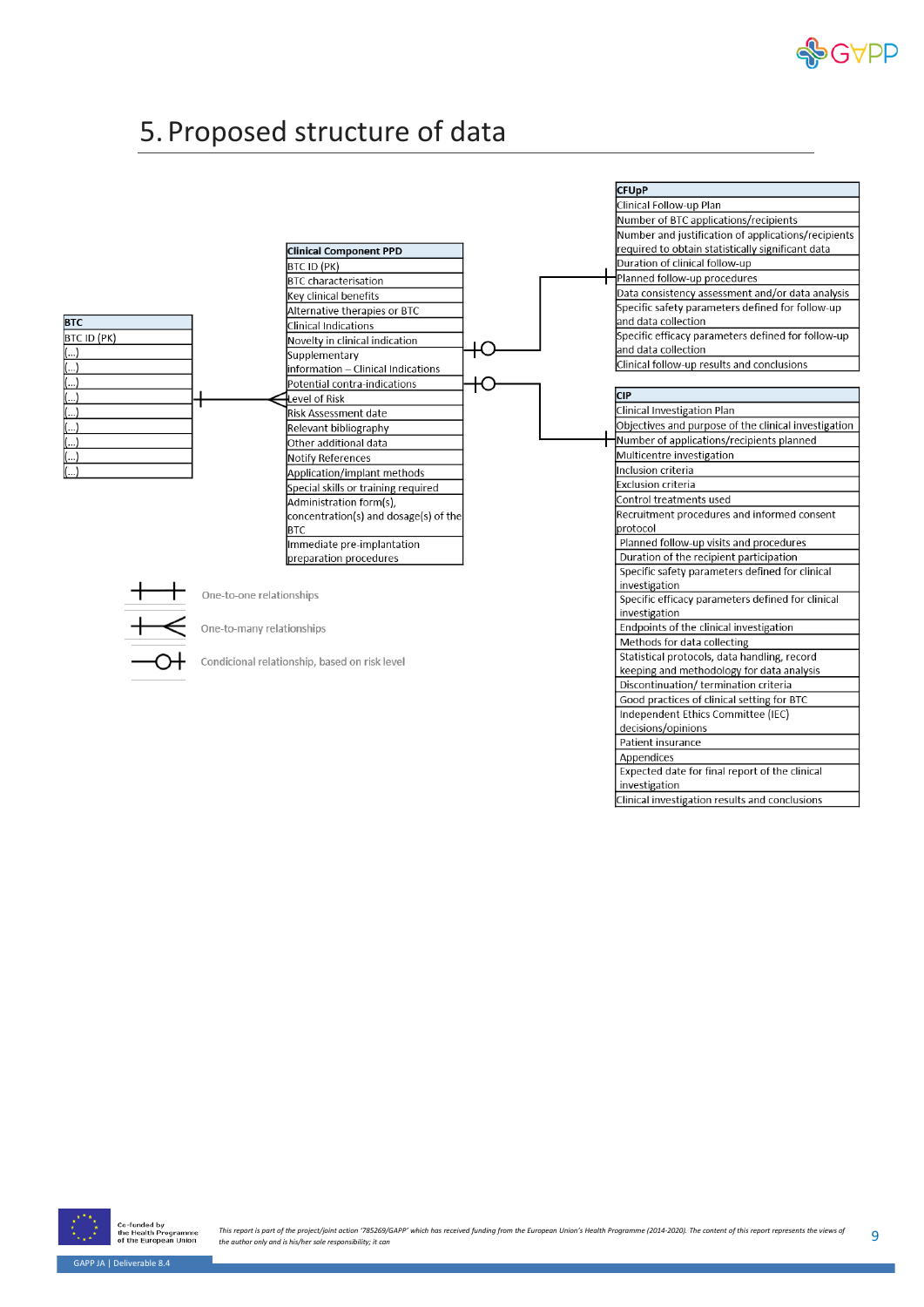

#### <span id="page-9-0"></span>5. Proposed structure of data